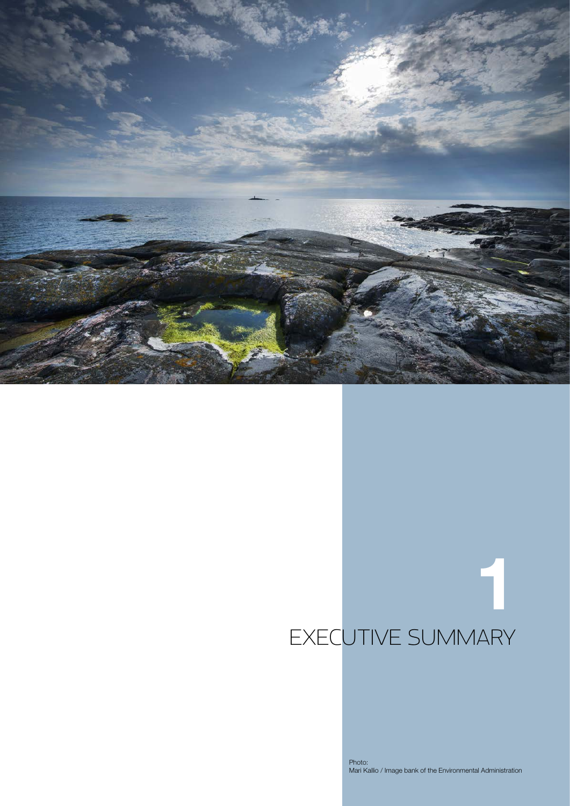

# 1 EXECUTIVE SUMMARY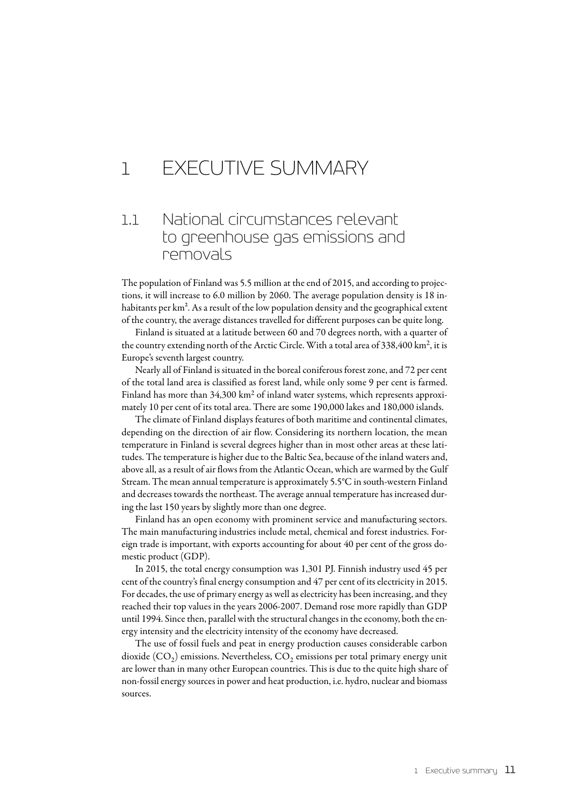## 1 Executive summary

## 1.1 National circumstances relevant to greenhouse gas emissions and removals

The population of Finland was 5.5 million at the end of 2015, and according to projections, it will increase to 6.0 million by 2060. The average population density is 18 inhabitants per km<sup>2</sup>. As a result of the low population density and the geographical extent of the country, the average distances travelled for different purposes can be quite long.

Finland is situated at a latitude between 60 and 70 degrees north, with a quarter of the country extending north of the Arctic Circle. With a total area of 338,400 km2, it is Europe's seventh largest country.

Nearly all of Finland is situated in the boreal coniferous forest zone, and 72 per cent of the total land area is classified as forest land, while only some 9 per cent is farmed. Finland has more than 34,300 km<sup>2</sup> of inland water systems, which represents approximately 10 per cent of its total area. There are some 190,000 lakes and 180,000 islands.

The climate of Finland displays features of both maritime and continental climates, depending on the direction of air flow. Considering its northern location, the mean temperature in Finland is several degrees higher than in most other areas at these latitudes. The temperature is higher due to the Baltic Sea, because of the inland waters and, above all, as a result of air flows from the Atlantic Ocean, which are warmed by the Gulf Stream. The mean annual temperature is approximately 5.5°C in south-western Finland and decreases towards the northeast. The average annual temperature has increased during the last 150 years by slightly more than one degree.

Finland has an open economy with prominent service and manufacturing sectors. The main manufacturing industries include metal, chemical and forest industries. Foreign trade is important, with exports accounting for about 40 per cent of the gross domestic product (GDP).

In 2015, the total energy consumption was 1,301 PJ. Finnish industry used 45 per cent of the country's final energy consumption and 47 per cent of its electricity in 2015. For decades, the use of primary energy as well as electricity has been increasing, and they reached their top values in the years 2006-2007. Demand rose more rapidly than GDP until 1994. Since then, parallel with the structural changes in the economy, both the energy intensity and the electricity intensity of the economy have decreased.

The use of fossil fuels and peat in energy production causes considerable carbon dioxide  $(CO<sub>2</sub>)$  emissions. Nevertheless,  $CO<sub>2</sub>$  emissions per total primary energy unit are lower than in many other European countries. This is due to the quite high share of non-fossil energy sources in power and heat production, i.e. hydro, nuclear and biomass sources.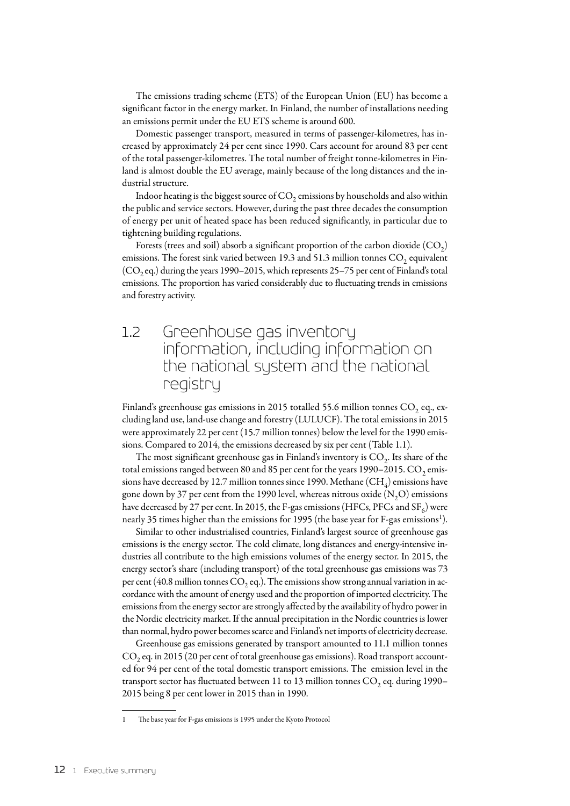The emissions trading scheme (ETS) of the European Union (EU) has become a significant factor in the energy market. In Finland, the number of installations needing an emissions permit under the EU ETS scheme is around 600.

Domestic passenger transport, measured in terms of passenger-kilometres, has increased by approximately 24 per cent since 1990. Cars account for around 83 per cent of the total passenger-kilometres. The total number of freight tonne-kilometres in Finland is almost double the EU average, mainly because of the long distances and the industrial structure.

Indoor heating is the biggest source of  $CO<sub>2</sub>$  emissions by households and also within the public and service sectors. However, during the past three decades the consumption of energy per unit of heated space has been reduced significantly, in particular due to tightening building regulations.

Forests (trees and soil) absorb a significant proportion of the carbon dioxide  $(CO<sub>2</sub>)$ emissions. The forest sink varied between 19.3 and 51.3 million tonnes  $CO<sub>2</sub>$  equivalent  $(CO<sub>2</sub>$ eq.) during the years 1990–2015, which represents 25–75 per cent of Finland's total emissions. The proportion has varied considerably due to fluctuating trends in emissions and forestry activity.

## 1.2 Greenhouse gas inventory information, including information on the national system and the national registry

Finland's greenhouse gas emissions in 2015 totalled 55.6 million tonnes  $CO<sub>2</sub>$  eq., excluding land use, land-use change and forestry (LULUCF). The total emissions in 2015 were approximately 22 per cent (15.7 million tonnes) below the level for the 1990 emissions. Compared to 2014, the emissions decreased by six per cent (Table 1.1).

The most significant greenhouse gas in Finland's inventory is  $CO<sub>2</sub>$ . Its share of the total emissions ranged between 80 and 85 per cent for the years 1990–2015.  $CO<sub>2</sub>$  emissions have decreased by 12.7 million tonnes since 1990. Methane  $(CH_4)$  emissions have gone down by 37 per cent from the 1990 level, whereas nitrous oxide  $(N, O)$  emissions have decreased by 27 per cent. In 2015, the F-gas emissions (HFCs, PFCs and SF $_6$ ) were nearly 35 times higher than the emissions for 1995 (the base year for F-gas emissions<sup>1</sup>).

Similar to other industrialised countries, Finland's largest source of greenhouse gas emissions is the energy sector. The cold climate, long distances and energy-intensive industries all contribute to the high emissions volumes of the energy sector. In 2015, the energy sector's share (including transport) of the total greenhouse gas emissions was 73 per cent (40.8 million tonnes  $CO_2$  eq.). The emissions show strong annual variation in accordance with the amount of energy used and the proportion of imported electricity. The emissions from the energy sector are strongly affected by the availability of hydro power in the Nordic electricity market. If the annual precipitation in the Nordic countries is lower than normal, hydro power becomes scarce and Finland's net imports of electricity decrease.

Greenhouse gas emissions generated by transport amounted to 11.1 million tonnes  $CO<sub>2</sub>$  eq. in 2015 (20 per cent of total greenhouse gas emissions). Road transport accounted for 94 per cent of the total domestic transport emissions. The emission level in the transport sector has fluctuated between 11 to 13 million tonnes  $CO<sub>2</sub>$  eq. during 1990– 2015 being 8 per cent lower in 2015 than in 1990.

The base year for F-gas emissions is 1995 under the Kyoto Protocol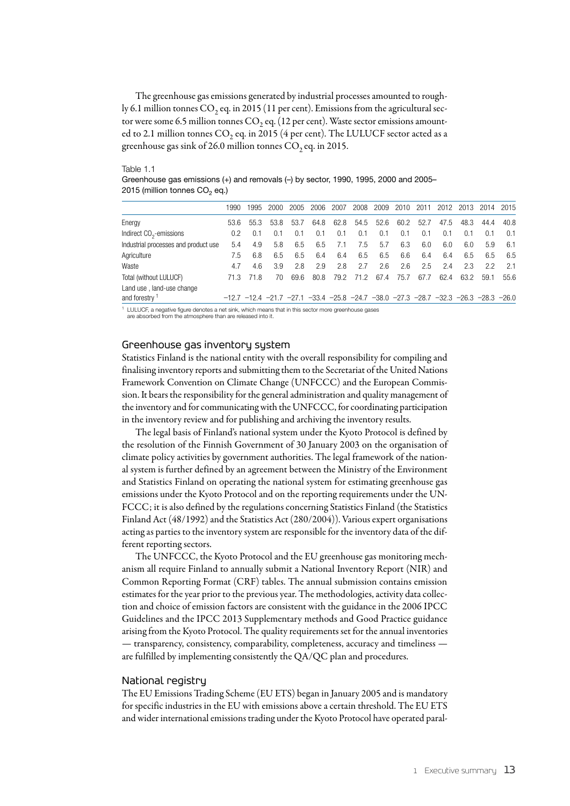The greenhouse gas emissions generated by industrial processes amounted to roughly 6.1 million tonnes  $CO_2$  eq. in 2015 (11 per cent). Emissions from the agricultural sector were some 6.5 million tonnes  $CO_2$  eq. (12 per cent). Waste sector emissions amounted to 2.1 million tonnes  $CO_2$  eq. in 2015 (4 per cent). The LULUCF sector acted as a greenhouse gas sink of 26.0 million tonnes  $CO_2$  eq. in 2015.

Table 1.1

Greenhouse gas emissions (+) and removals (–) by sector, 1990, 1995, 2000 and 2005– 2015 (million tonnes  $CO<sub>2</sub>$  eq.)

|                                                        | 1990          | 1995                                                                                                            | 2000 | 2005 | 2006 | 2007 | 2008 | 2009 | 2010 | 2011 | 2012 | 2013 | 2014 | 2015 |
|--------------------------------------------------------|---------------|-----------------------------------------------------------------------------------------------------------------|------|------|------|------|------|------|------|------|------|------|------|------|
| Energy                                                 | 53.6          | 55.3                                                                                                            | 53.8 | 53.7 | 64.8 | 62.8 | 54.5 | 52.6 | 60.2 | 52.7 | 47.5 | 48.3 | 44.4 | 40.8 |
| Indirect $CO2$ -emissions                              | $0.2^{\circ}$ | 0.1                                                                                                             | 0.1  | 0.1  | 0.1  | 0.1  | 0.1  | 0.1  | 0.1  | 0.1  | 0.1  | 0.1  | 0.1  | 0.1  |
| Industrial processes and product use                   | 5.4           | 4.9                                                                                                             | 5.8  | 6.5  | 6.5  | 7.1  | 7.5  | 5.7  | 6.3  | 6.0  | 6.0  | 6.0  | 5.9  | 6.1  |
| Agriculture                                            | 7.5           | 6.8                                                                                                             | 6.5  | 6.5  | 6.4  | 6.4  | 6.5  | 6.5  | 6.6  | 6.4  | 6.4  | 6.5  | 6.5  | 6.5  |
| Waste                                                  | 4.7           | 4.6                                                                                                             | 3.9  | 2.8  | 2.9  | 2.8  | 2.7  | 2.6  | 2.6  | 2.5  | 2.4  | 23   | 2.2  | 2.1  |
| Total (without LULUCF)                                 | 71.3          | 71.8                                                                                                            | 70   | 69.6 | 80.8 | 79.2 | 71.2 | 67.4 | 75.7 | 67.7 | 62.4 | 63.2 | 59.1 | 55.6 |
| Land use, land-use change<br>and forestry <sup>1</sup> |               | $-12.7$ $-12.4$ $-21.7$ $-27.1$ $-33.4$ $-25.8$ $-24.7$ $-38.0$ $-27.3$ $-28.7$ $-32.3$ $-26.3$ $-28.3$ $-26.0$ |      |      |      |      |      |      |      |      |      |      |      |      |

1 LULUCF, a negative figure denotes a net sink, which means that in this sector more greenhouse gases are absorbed from the atmosphere than are released into it

## Greenhouse gas inventory system

Statistics Finland is the national entity with the overall responsibility for compiling and finalising inventory reports and submitting them to the Secretariat of the United Nations Framework Convention on Climate Change (UNFCCC) and the European Commission. It bears the responsibility for the general administration and quality management of the inventory and for communicating with the UNFCCC, for coordinating participation in the inventory review and for publishing and archiving the inventory results.

The legal basis of Finland's national system under the Kyoto Protocol is defined by the resolution of the Finnish Government of 30 January 2003 on the organisation of climate policy activities by government authorities. The legal framework of the national system is further defined by an agreement between the Ministry of the Environment and Statistics Finland on operating the national system for estimating greenhouse gas emissions under the Kyoto Protocol and on the reporting requirements under the UN-FCCC; it is also defined by the regulations concerning Statistics Finland (the Statistics Finland Act (48/1992) and the Statistics Act (280/2004)). Various expert organisations acting as parties to the inventory system are responsible for the inventory data of the different reporting sectors.

The UNFCCC, the Kyoto Protocol and the EU greenhouse gas monitoring mechanism all require Finland to annually submit a National Inventory Report (NIR) and Common Reporting Format (CRF) tables. The annual submission contains emission estimates for the year prior to the previous year. The methodologies, activity data collection and choice of emission factors are consistent with the guidance in the 2006 IPCC Guidelines and the IPCC 2013 Supplementary methods and Good Practice guidance arising from the Kyoto Protocol. The quality requirements set for the annual inventories — transparency, consistency, comparability, completeness, accuracy and timeliness are fulfilled by implementing consistently the QA/QC plan and procedures.

#### National registry

The EU Emissions Trading Scheme (EU ETS) began in January 2005 and is mandatory for specific industries in the EU with emissions above a certain threshold. The EU ETS and wider international emissions trading under the Kyoto Protocol have operated paral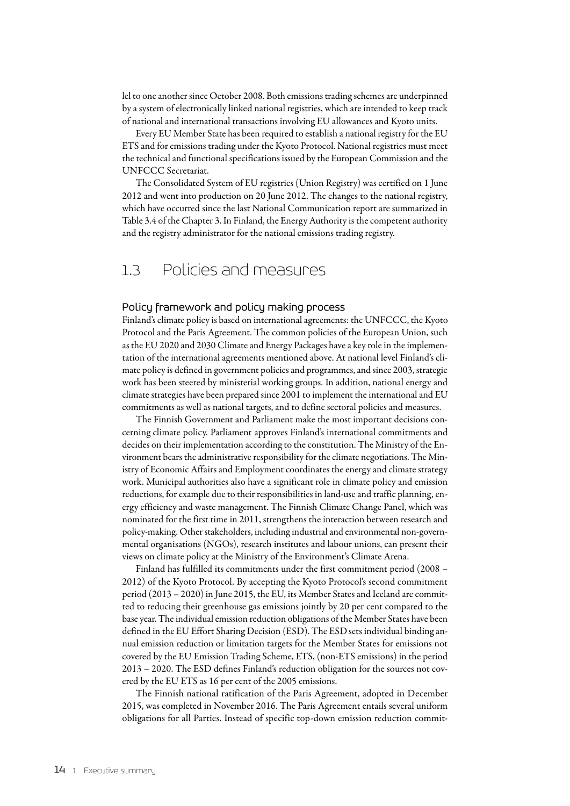lel to one another since October 2008. Both emissions trading schemes are underpinned by a system of electronically linked national registries, which are intended to keep track of national and international transactions involving EU allowances and Kyoto units.

Every EU Member State has been required to establish a national registry for the EU ETS and for emissions trading under the Kyoto Protocol. National registries must meet the technical and functional specifications issued by the European Commission and the UNFCCC Secretariat.

The Consolidated System of EU registries (Union Registry) was certified on 1 June 2012 and went into production on 20 June 2012. The changes to the national registry, which have occurred since the last National Communication report are summarized in Table 3.4 of the Chapter 3. In Finland, the Energy Authority is the competent authority and the registry administrator for the national emissions trading registry.

### 1.3 Policies and measures

#### Policy framework and policy making process

Finland's climate policy is based on international agreements: the UNFCCC, the Kyoto Protocol and the Paris Agreement. The common policies of the European Union, such as the EU 2020 and 2030 Climate and Energy Packages have a key role in the implementation of the international agreements mentioned above. At national level Finland's climate policy is defined in government policies and programmes, and since 2003, strategic work has been steered by ministerial working groups. In addition, national energy and climate strategies have been prepared since 2001 to implement the international and EU commitments as well as national targets, and to define sectoral policies and measures.

The Finnish Government and Parliament make the most important decisions concerning climate policy. Parliament approves Finland's international commitments and decides on their implementation according to the constitution. The Ministry of the Environment bears the administrative responsibility for the climate negotiations. The Ministry of Economic Affairs and Employment coordinates the energy and climate strategy work. Municipal authorities also have a significant role in climate policy and emission reductions, for example due to their responsibilities in land-use and traffic planning, energy efficiency and waste management. The Finnish Climate Change Panel, which was nominated for the first time in 2011, strengthens the interaction between research and policy-making. Other stakeholders, including industrial and environmental non-governmental organisations (NGOs), research institutes and labour unions, can present their views on climate policy at the Ministry of the Environment's Climate Arena.

Finland has fulfilled its commitments under the first commitment period (2008 – 2012) of the Kyoto Protocol. By accepting the Kyoto Protocol's second commitment period (2013 – 2020) in June 2015, the EU, its Member States and Iceland are committed to reducing their greenhouse gas emissions jointly by 20 per cent compared to the base year. The individual emission reduction obligations of the Member States have been defined in the EU Effort Sharing Decision (ESD). The ESD sets individual binding annual emission reduction or limitation targets for the Member States for emissions not covered by the EU Emission Trading Scheme, ETS, (non-ETS emissions) in the period 2013 – 2020. The ESD defines Finland's reduction obligation for the sources not covered by the EU ETS as 16 per cent of the 2005 emissions.

The Finnish national ratification of the Paris Agreement, adopted in December 2015, was completed in November 2016. The Paris Agreement entails several uniform obligations for all Parties. Instead of specific top-down emission reduction commit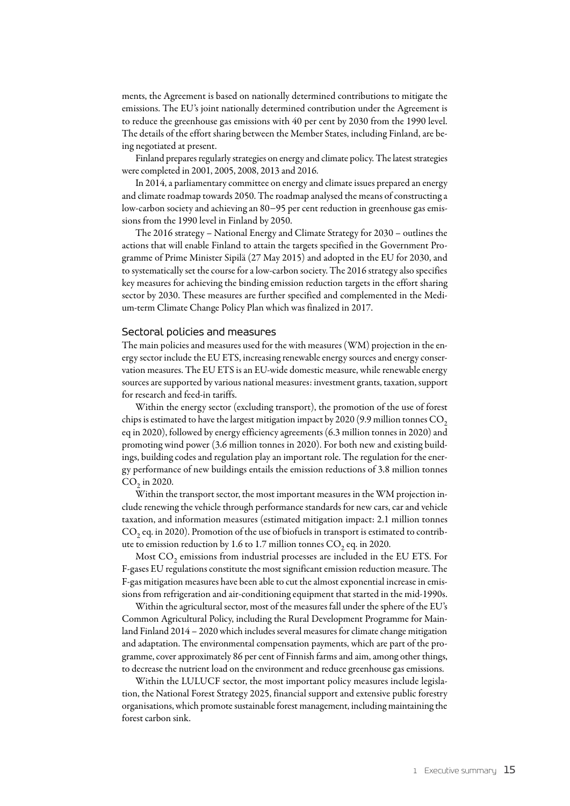ments, the Agreement is based on nationally determined contributions to mitigate the emissions. The EU's joint nationally determined contribution under the Agreement is to reduce the greenhouse gas emissions with 40 per cent by 2030 from the 1990 level. The details of the effort sharing between the Member States, including Finland, are being negotiated at present.

Finland prepares regularly strategies on energy and climate policy. The latest strategies were completed in 2001, 2005, 2008, 2013 and 2016.

In 2014, a parliamentary committee on energy and climate issues prepared an energy and climate roadmap towards 2050. The roadmap analysed the means of constructing a low-carbon society and achieving an 80−95 per cent reduction in greenhouse gas emissions from the 1990 level in Finland by 2050.

The 2016 strategy – National Energy and Climate Strategy for 2030 – outlines the actions that will enable Finland to attain the targets specified in the Government Programme of Prime Minister Sipilä (27 May 2015) and adopted in the EU for 2030, and to systematically set the course for a low-carbon society. The 2016 strategy also specifies key measures for achieving the binding emission reduction targets in the effort sharing sector by 2030. These measures are further specified and complemented in the Medium-term Climate Change Policy Plan which was finalized in 2017.

#### Sectoral policies and measures

The main policies and measures used for the with measures (WM) projection in the energy sector include the EU ETS, increasing renewable energy sources and energy conservation measures. The EU ETS is an EU-wide domestic measure, while renewable energy sources are supported by various national measures: investment grants, taxation, support for research and feed-in tariffs.

Within the energy sector (excluding transport), the promotion of the use of forest chips is estimated to have the largest mitigation impact by 2020 (9.9 million tonnes  $CO<sub>2</sub>$ eq in 2020), followed by energy efficiency agreements (6.3 million tonnes in 2020) and promoting wind power (3.6 million tonnes in 2020). For both new and existing buildings, building codes and regulation play an important role. The regulation for the energy performance of new buildings entails the emission reductions of 3.8 million tonnes  $CO<sub>2</sub>$  in 2020.

Within the transport sector, the most important measures in the WM projection include renewing the vehicle through performance standards for new cars, car and vehicle taxation, and information measures (estimated mitigation impact: 2.1 million tonnes  $CO<sub>2</sub>$  eq. in 2020). Promotion of the use of biofuels in transport is estimated to contribute to emission reduction by 1.6 to 1.7 million tonnes  $CO$ , eq. in 2020.

Most  $CO<sub>2</sub>$  emissions from industrial processes are included in the EU ETS. For F-gases EU regulations constitute the most significant emission reduction measure. The F-gas mitigation measures have been able to cut the almost exponential increase in emissions from refrigeration and air-conditioning equipment that started in the mid-1990s.

Within the agricultural sector, most of the measures fall under the sphere of the EU's Common Agricultural Policy, including the Rural Development Programme for Mainland Finland 2014 – 2020 which includes several measures for climate change mitigation and adaptation. The environmental compensation payments, which are part of the programme, cover approximately 86 per cent of Finnish farms and aim, among other things, to decrease the nutrient load on the environment and reduce greenhouse gas emissions.

Within the LULUCF sector, the most important policy measures include legislation, the National Forest Strategy 2025, financial support and extensive public forestry organisations, which promote sustainable forest management, including maintaining the forest carbon sink.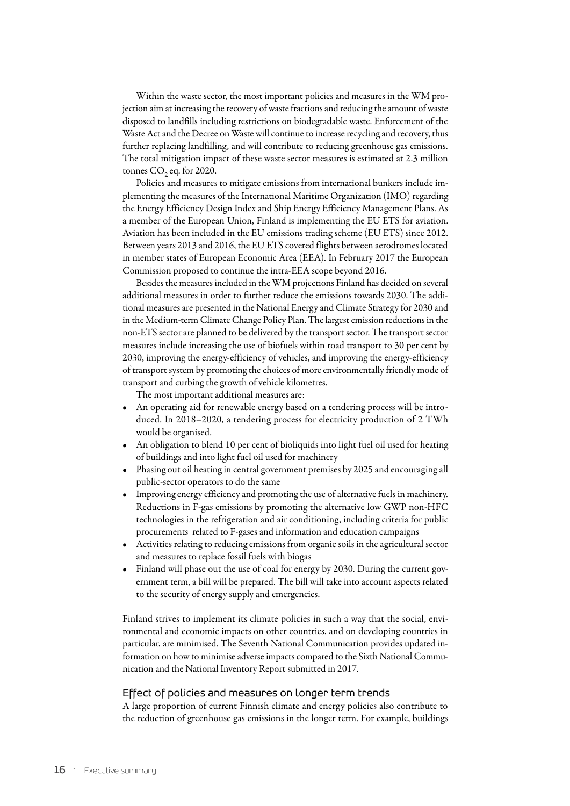Within the waste sector, the most important policies and measures in the WM projection aim at increasing the recovery of waste fractions and reducing the amount of waste disposed to landfills including restrictions on biodegradable waste. Enforcement of the Waste Act and the Decree on Waste will continue to increase recycling and recovery, thus further replacing landfilling, and will contribute to reducing greenhouse gas emissions. The total mitigation impact of these waste sector measures is estimated at 2.3 million tonnes  $CO<sub>2</sub>$  eq. for 2020.

Policies and measures to mitigate emissions from international bunkers include implementing the measures of the International Maritime Organization (IMO) regarding the Energy Efficiency Design Index and Ship Energy Efficiency Management Plans. As a member of the European Union, Finland is implementing the EU ETS for aviation. Aviation has been included in the EU emissions trading scheme (EU ETS) since 2012. Between years 2013 and 2016, the EU ETS covered flights between aerodromes located in member states of European Economic Area (EEA). In February 2017 the European Commission proposed to continue the intra-EEA scope beyond 2016.

Besides the measures included in the WM projections Finland has decided on several additional measures in order to further reduce the emissions towards 2030. The additional measures are presented in the National Energy and Climate Strategy for 2030 and in the Medium-term Climate Change Policy Plan. The largest emission reductions in the non-ETS sector are planned to be delivered by the transport sector. The transport sector measures include increasing the use of biofuels within road transport to 30 per cent by 2030, improving the energy-efficiency of vehicles, and improving the energy-efficiency of transport system by promoting the choices of more environmentally friendly mode of transport and curbing the growth of vehicle kilometres.

The most important additional measures are:

- An operating aid for renewable energy based on a tendering process will be introduced. In 2018–2020, a tendering process for electricity production of 2 TWh would be organised.
- An obligation to blend 10 per cent of bioliquids into light fuel oil used for heating of buildings and into light fuel oil used for machinery
- Phasing out oil heating in central government premises by 2025 and encouraging all public-sector operators to do the same
- Improving energy efficiency and promoting the use of alternative fuels in machinery. Reductions in F-gas emissions by promoting the alternative low GWP non-HFC technologies in the refrigeration and air conditioning, including criteria for public procurements related to F-gases and information and education campaigns
- • Activities relating to reducing emissions from organic soils in the agricultural sector and measures to replace fossil fuels with biogas
- Finland will phase out the use of coal for energy by 2030. During the current government term, a bill will be prepared. The bill will take into account aspects related to the security of energy supply and emergencies.

Finland strives to implement its climate policies in such a way that the social, environmental and economic impacts on other countries, and on developing countries in particular, are minimised. The Seventh National Communication provides updated information on how to minimise adverse impacts compared to the Sixth National Communication and the National Inventory Report submitted in 2017.

#### Effect of policies and measures on longer term trends

A large proportion of current Finnish climate and energy policies also contribute to the reduction of greenhouse gas emissions in the longer term. For example, buildings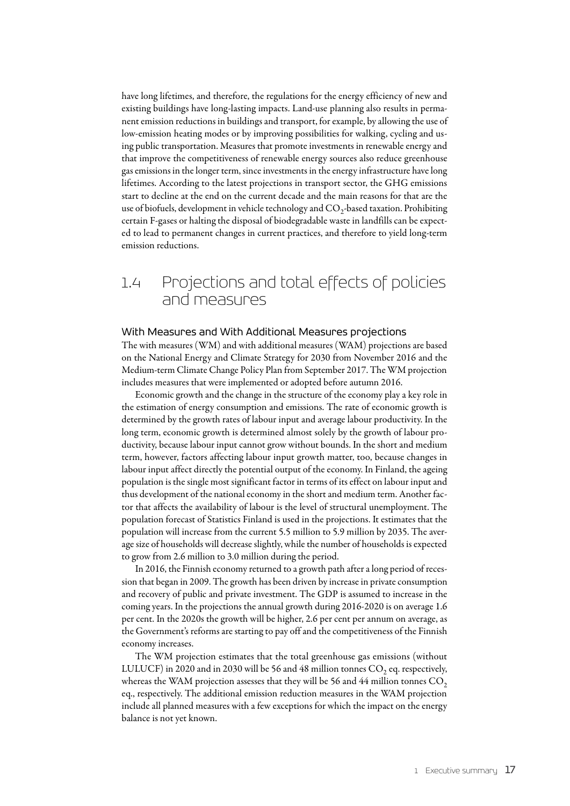have long lifetimes, and therefore, the regulations for the energy efficiency of new and existing buildings have long-lasting impacts. Land-use planning also results in permanent emission reductions in buildings and transport, for example, by allowing the use of low-emission heating modes or by improving possibilities for walking, cycling and using public transportation. Measures that promote investments in renewable energy and that improve the competitiveness of renewable energy sources also reduce greenhouse gas emissions in the longer term, since investments in the energy infrastructure have long lifetimes. According to the latest projections in transport sector, the GHG emissions start to decline at the end on the current decade and the main reasons for that are the use of biofuels, development in vehicle technology and CO<sub>2</sub>-based taxation. Prohibiting certain F-gases or halting the disposal of biodegradable waste in landfills can be expected to lead to permanent changes in current practices, and therefore to yield long-term emission reductions.

## 1.4 Projections and total effects of policies and measures

#### With Measures and With Additional Measures projections

The with measures (WM) and with additional measures (WAM) projections are based on the National Energy and Climate Strategy for 2030 from November 2016 and the Medium-term Climate Change Policy Plan from September 2017. The WM projection includes measures that were implemented or adopted before autumn 2016.

Economic growth and the change in the structure of the economy play a key role in the estimation of energy consumption and emissions. The rate of economic growth is determined by the growth rates of labour input and average labour productivity. In the long term, economic growth is determined almost solely by the growth of labour productivity, because labour input cannot grow without bounds. In the short and medium term, however, factors affecting labour input growth matter, too, because changes in labour input affect directly the potential output of the economy. In Finland, the ageing population is the single most significant factor in terms of its effect on labour input and thus development of the national economy in the short and medium term. Another factor that affects the availability of labour is the level of structural unemployment. The population forecast of Statistics Finland is used in the projections. It estimates that the population will increase from the current 5.5 million to 5.9 million by 2035. The average size of households will decrease slightly, while the number of households is expected to grow from 2.6 million to 3.0 million during the period.

In 2016, the Finnish economy returned to a growth path after a long period of recession that began in 2009. The growth has been driven by increase in private consumption and recovery of public and private investment. The GDP is assumed to increase in the coming years. In the projections the annual growth during 2016-2020 is on average 1.6 per cent. In the 2020s the growth will be higher, 2.6 per cent per annum on average, as the Government's reforms are starting to pay off and the competitiveness of the Finnish economy increases.

The WM projection estimates that the total greenhouse gas emissions (without LULUCF) in 2020 and in 2030 will be 56 and 48 million tonnes  $CO<sub>2</sub>$  eq. respectively, whereas the WAM projection assesses that they will be 56 and 44 million tonnes  $CO<sub>2</sub>$ eq., respectively. The additional emission reduction measures in the WAM projection include all planned measures with a few exceptions for which the impact on the energy balance is not yet known.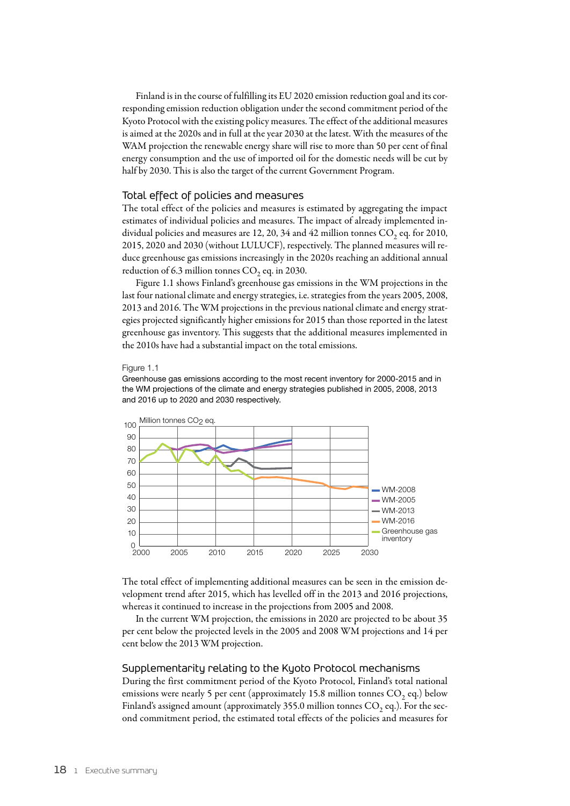Finland is in the course of fulfilling its EU 2020 emission reduction goal and its corresponding emission reduction obligation under the second commitment period of the Kyoto Protocol with the existing policy measures. The effect of the additional measures is aimed at the 2020s and in full at the year 2030 at the latest. With the measures of the WAM projection the renewable energy share will rise to more than 50 per cent of final energy consumption and the use of imported oil for the domestic needs will be cut by half by 2030. This is also the target of the current Government Program.

#### Total effect of policies and measures

The total effect of the policies and measures is estimated by aggregating the impact estimates of individual policies and measures. The impact of already implemented individual policies and measures are 12, 20, 34 and 42 million tonnes  $CO<sub>2</sub>$  eq. for 2010, 2015, 2020 and 2030 (without LULUCF), respectively. The planned measures will reduce greenhouse gas emissions increasingly in the 2020s reaching an additional annual reduction of 6.3 million tonnes  $CO$ <sub>2</sub> eq. in 2030.

Figure 1.1 shows Finland's greenhouse gas emissions in the WM projections in the last four national climate and energy strategies, i.e. strategies from the years 2005, 2008, 2013 and 2016. The WM projections in the previous national climate and energy strategies projected significantly higher emissions for 2015 than those reported in the latest greenhouse gas inventory. This suggests that the additional measures implemented in the 2010s have had a substantial impact on the total emissions.

#### Figure 1.1

Greenhouse gas emissions according to the most recent inventory for 2000-2015 and in the WM projections of the climate and energy strategies published in 2005, 2008, 2013 and 2016 up to 2020 and 2030 respectively.



The total effect of implementing additional measures can be seen in the emission development trend after 2015, which has levelled off in the 2013 and 2016 projections, whereas it continued to increase in the projections from 2005 and 2008.

In the current WM projection, the emissions in 2020 are projected to be about 35 per cent below the projected levels in the 2005 and 2008 WM projections and 14 per cent below the 2013 WM projection.

#### Supplementarity relating to the Kyoto Protocol mechanisms

During the first commitment period of the Kyoto Protocol, Finland's total national emissions were nearly 5 per cent (approximately 15.8 million tonnes  $CO$ , eq.) below Finland's assigned amount (approximately 355.0 million tonnes  $CO$ , eq.). For the second commitment period, the estimated total effects of the policies and measures for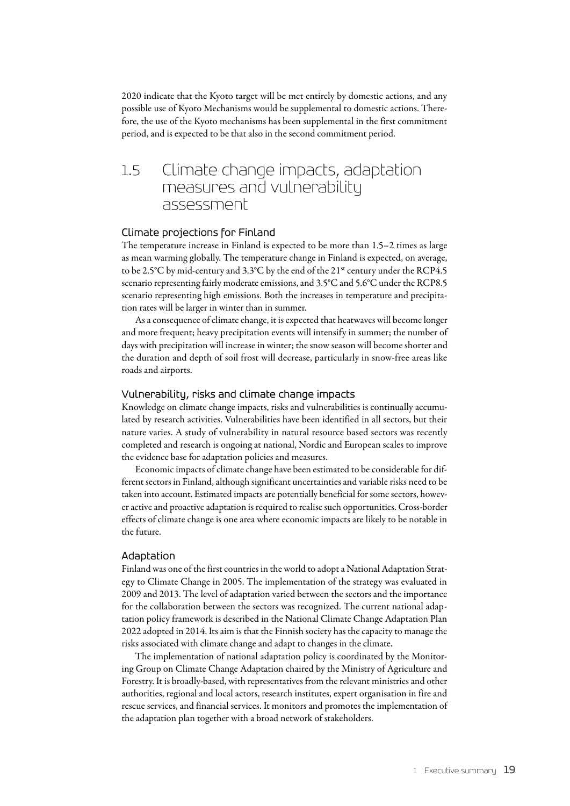2020 indicate that the Kyoto target will be met entirely by domestic actions, and any possible use of Kyoto Mechanisms would be supplemental to domestic actions. Therefore, the use of the Kyoto mechanisms has been supplemental in the first commitment period, and is expected to be that also in the second commitment period.

## 1.5 Climate change impacts, adaptation measures and vulnerability assessment

#### Climate projections for Finland

The temperature increase in Finland is expected to be more than 1.5–2 times as large as mean warming globally. The temperature change in Finland is expected, on average, to be 2.5°C by mid-century and 3.3°C by the end of the 21st century under the RCP4.5 scenario representing fairly moderate emissions, and 3.5°C and 5.6°C under the RCP8.5 scenario representing high emissions. Both the increases in temperature and precipitation rates will be larger in winter than in summer.

As a consequence of climate change, it is expected that heatwaves will become longer and more frequent; heavy precipitation events will intensify in summer; the number of days with precipitation will increase in winter; the snow season will become shorter and the duration and depth of soil frost will decrease, particularly in snow-free areas like roads and airports.

#### Vulnerability, risks and climate change impacts

Knowledge on climate change impacts, risks and vulnerabilities is continually accumulated by research activities. Vulnerabilities have been identified in all sectors, but their nature varies. A study of vulnerability in natural resource based sectors was recently completed and research is ongoing at national, Nordic and European scales to improve the evidence base for adaptation policies and measures.

Economic impacts of climate change have been estimated to be considerable for different sectors in Finland, although significant uncertainties and variable risks need to be taken into account. Estimated impacts are potentially beneficial for some sectors, however active and proactive adaptation is required to realise such opportunities. Cross-border effects of climate change is one area where economic impacts are likely to be notable in the future.

#### Adaptation

Finland was one of the first countries in the world to adopt a National Adaptation Strategy to Climate Change in 2005. The implementation of the strategy was evaluated in 2009 and 2013. The level of adaptation varied between the sectors and the importance for the collaboration between the sectors was recognized. The current national adaptation policy framework is described in the National Climate Change Adaptation Plan 2022 adopted in 2014. Its aim is that the Finnish society has the capacity to manage the risks associated with climate change and adapt to changes in the climate.

The implementation of national adaptation policy is coordinated by the Monitoring Group on Climate Change Adaptation chaired by the Ministry of Agriculture and Forestry. It is broadly-based, with representatives from the relevant ministries and other authorities, regional and local actors, research institutes, expert organisation in fire and rescue services, and financial services. It monitors and promotes the implementation of the adaptation plan together with a broad network of stakeholders.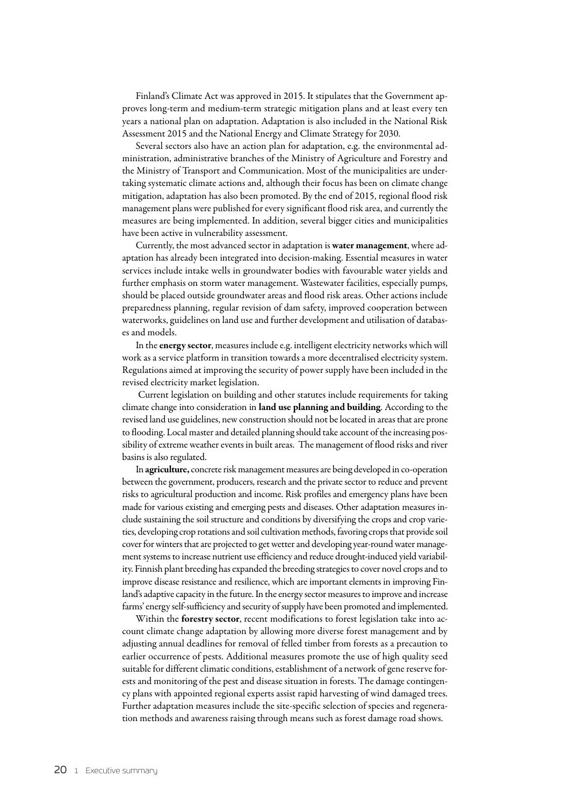Finland's Climate Act was approved in 2015. It stipulates that the Government approves long-term and medium-term strategic mitigation plans and at least every ten years a national plan on adaptation. Adaptation is also included in the National Risk Assessment 2015 and the National Energy and Climate Strategy for 2030.

Several sectors also have an action plan for adaptation, e.g. the environmental administration, administrative branches of the Ministry of Agriculture and Forestry and the Ministry of Transport and Communication. Most of the municipalities are undertaking systematic climate actions and, although their focus has been on climate change mitigation, adaptation has also been promoted. By the end of 2015, regional flood risk management plans were published for every significant flood risk area, and currently the measures are being implemented. In addition, several bigger cities and municipalities have been active in vulnerability assessment.

Currently, the most advanced sector in adaptation is water management, where adaptation has already been integrated into decision-making. Essential measures in water services include intake wells in groundwater bodies with favourable water yields and further emphasis on storm water management. Wastewater facilities, especially pumps, should be placed outside groundwater areas and flood risk areas. Other actions include preparedness planning, regular revision of dam safety, improved cooperation between waterworks, guidelines on land use and further development and utilisation of databases and models.

In the energy sector, measures include e.g. intelligent electricity networks which will work as a service platform in transition towards a more decentralised electricity system. Regulations aimed at improving the security of power supply have been included in the revised electricity market legislation.

 Current legislation on building and other statutes include requirements for taking climate change into consideration in land use planning and building. According to the revised land use guidelines, new construction should not be located in areas that are prone to flooding. Local master and detailed planning should take account of the increasing possibility of extreme weather events in built areas. The management of flood risks and river basins is also regulated.

In agriculture, concrete risk management measures are being developed in co-operation between the government, producers, research and the private sector to reduce and prevent risks to agricultural production and income. Risk profiles and emergency plans have been made for various existing and emerging pests and diseases. Other adaptation measures include sustaining the soil structure and conditions by diversifying the crops and crop varieties, developing crop rotations and soil cultivation methods, favoring crops that provide soil cover for winters that are projected to get wetter and developing year-round water management systems to increase nutrient use efficiency and reduce drought-induced yield variability. Finnish plant breeding has expanded the breeding strategies to cover novel crops and to improve disease resistance and resilience, which are important elements in improving Finland's adaptive capacity in the future. In the energy sector measures to improve and increase farms' energy self-sufficiency and security of supply have been promoted and implemented.

Within the forestry sector, recent modifications to forest legislation take into account climate change adaptation by allowing more diverse forest management and by adjusting annual deadlines for removal of felled timber from forests as a precaution to earlier occurrence of pests. Additional measures promote the use of high quality seed suitable for different climatic conditions, establishment of a network of gene reserve forests and monitoring of the pest and disease situation in forests. The damage contingency plans with appointed regional experts assist rapid harvesting of wind damaged trees. Further adaptation measures include the site-specific selection of species and regeneration methods and awareness raising through means such as forest damage road shows.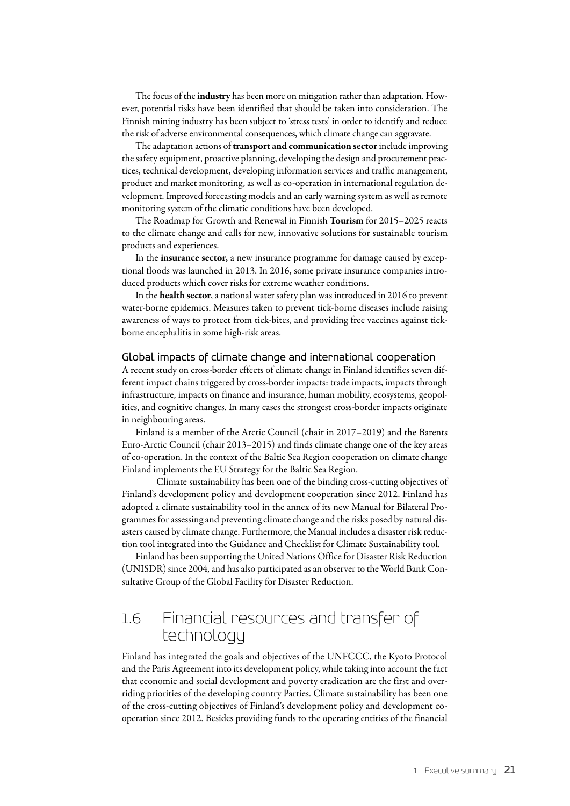The focus of the **industry** has been more on mitigation rather than adaptation. However, potential risks have been identified that should be taken into consideration. The Finnish mining industry has been subject to 'stress tests' in order to identify and reduce the risk of adverse environmental consequences, which climate change can aggravate.

The adaptation actions of **transport and communication sector** include improving the safety equipment, proactive planning, developing the design and procurement practices, technical development, developing information services and traffic management, product and market monitoring, as well as co-operation in international regulation development. Improved forecasting models and an early warning system as well as remote monitoring system of the climatic conditions have been developed.

The Roadmap for Growth and Renewal in Finnish Tourism for 2015–2025 reacts to the climate change and calls for new, innovative solutions for sustainable tourism products and experiences.

In the insurance sector, a new insurance programme for damage caused by exceptional floods was launched in 2013. In 2016, some private insurance companies introduced products which cover risks for extreme weather conditions.

In the health sector, a national water safety plan was introduced in 2016 to prevent water-borne epidemics. Measures taken to prevent tick-borne diseases include raising awareness of ways to protect from tick-bites, and providing free vaccines against tickborne encephalitis in some high-risk areas.

#### Global impacts of climate change and international cooperation

A recent study on cross-border effects of climate change in Finland identifies seven different impact chains triggered by cross-border impacts: trade impacts, impacts through infrastructure, impacts on finance and insurance, human mobility, ecosystems, geopolitics, and cognitive changes. In many cases the strongest cross-border impacts originate in neighbouring areas.

Finland is a member of the Arctic Council (chair in 2017–2019) and the Barents Euro-Arctic Council (chair 2013–2015) and finds climate change one of the key areas of co-operation. In the context of the Baltic Sea Region cooperation on climate change Finland implements the EU Strategy for the Baltic Sea Region.

Climate sustainability has been one of the binding cross-cutting objectives of Finland's development policy and development cooperation since 2012. Finland has adopted a climate sustainability tool in the annex of its new Manual for Bilateral Programmes for assessing and preventing climate change and the risks posed by natural disasters caused by climate change. Furthermore, the Manual includes a disaster risk reduction tool integrated into the Guidance and Checklist for Climate Sustainability tool.

Finland has been supporting the United Nations Office for Disaster Risk Reduction (UNISDR) since 2004, and has also participated as an observer to the World Bank Consultative Group of the Global Facility for Disaster Reduction.

## 1.6 Financial resources and transfer of technology

Finland has integrated the goals and objectives of the UNFCCC, the Kyoto Protocol and the Paris Agreement into its development policy, while taking into account the fact that economic and social development and poverty eradication are the first and overriding priorities of the developing country Parties. Climate sustainability has been one of the cross-cutting objectives of Finland's development policy and development cooperation since 2012. Besides providing funds to the operating entities of the financial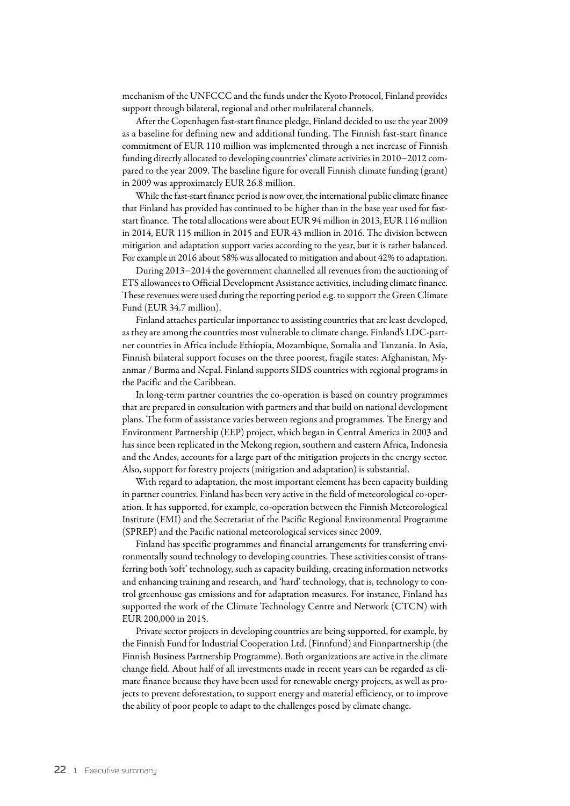mechanism of the UNFCCC and the funds under the Kyoto Protocol, Finland provides support through bilateral, regional and other multilateral channels.

After the Copenhagen fast-start finance pledge, Finland decided to use the year 2009 as a baseline for defining new and additional funding. The Finnish fast-start finance commitment of EUR 110 million was implemented through a net increase of Finnish funding directly allocated to developing countries' climate activities in 2010−2012 compared to the year 2009. The baseline figure for overall Finnish climate funding (grant) in 2009 was approximately EUR 26.8 million.

While the fast-start finance period is now over, the international public climate finance that Finland has provided has continued to be higher than in the base year used for faststart finance. The total allocations were about EUR 94 million in 2013, EUR 116 million in 2014, EUR 115 million in 2015 and EUR 43 million in 2016. The division between mitigation and adaptation support varies according to the year, but it is rather balanced. For example in 2016 about 58% was allocated to mitigation and about 42% to adaptation.

During 2013−2014 the government channelled all revenues from the auctioning of ETS allowances to Official Development Assistance activities, including climate finance. These revenues were used during the reporting period e.g. to support the Green Climate Fund (EUR 34.7 million).

Finland attaches particular importance to assisting countries that are least developed, as they are among the countries most vulnerable to climate change. Finland's LDC-partner countries in Africa include Ethiopia, Mozambique, Somalia and Tanzania. In Asia, Finnish bilateral support focuses on the three poorest, fragile states: Afghanistan, Myanmar / Burma and Nepal. Finland supports SIDS countries with regional programs in the Pacific and the Caribbean.

In long-term partner countries the co-operation is based on country programmes that are prepared in consultation with partners and that build on national development plans. The form of assistance varies between regions and programmes. The Energy and Environment Partnership (EEP) project, which began in Central America in 2003 and has since been replicated in the Mekong region, southern and eastern Africa, Indonesia and the Andes, accounts for a large part of the mitigation projects in the energy sector. Also, support for forestry projects (mitigation and adaptation) is substantial.

With regard to adaptation, the most important element has been capacity building in partner countries. Finland has been very active in the field of meteorological co-operation. It has supported, for example, co-operation between the Finnish Meteorological Institute (FMI) and the Secretariat of the Pacific Regional Environmental Programme (SPREP) and the Pacific national meteorological services since 2009.

Finland has specific programmes and financial arrangements for transferring environmentally sound technology to developing countries. These activities consist of transferring both 'soft' technology, such as capacity building, creating information networks and enhancing training and research, and 'hard' technology, that is, technology to control greenhouse gas emissions and for adaptation measures. For instance, Finland has supported the work of the Climate Technology Centre and Network (CTCN) with EUR 200,000 in 2015.

Private sector projects in developing countries are being supported, for example, by the Finnish Fund for Industrial Cooperation Ltd. (Finnfund) and Finnpartnership (the Finnish Business Partnership Programme). Both organizations are active in the climate change field. About half of all investments made in recent years can be regarded as climate finance because they have been used for renewable energy projects, as well as projects to prevent deforestation, to support energy and material efficiency, or to improve the ability of poor people to adapt to the challenges posed by climate change.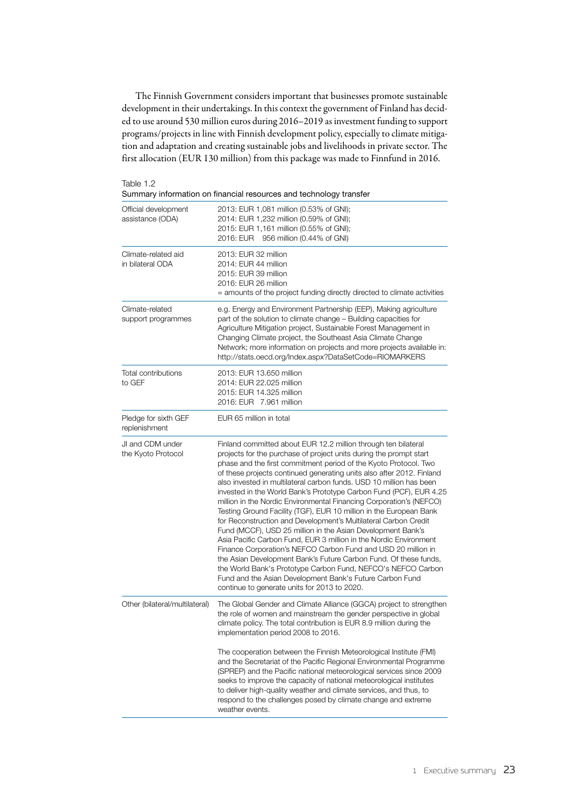The Finnish Government considers important that businesses promote sustainable development in their undertakings. In this context the government of Finland has decided to use around 530 million euros during 2016–2019 as investment funding to support programs/projects in line with Finnish development policy, especially to climate mitigation and adaptation and creating sustainable jobs and livelihoods in private sector. The first allocation (EUR 130 million) from this package was made to Finnfund in 2016.

| Table |  |  |
|-------|--|--|
|-------|--|--|

|  |  | Summary information on financial resources and technology transfer |  |  |
|--|--|--------------------------------------------------------------------|--|--|
|--|--|--------------------------------------------------------------------|--|--|

| Official development<br>assistance (ODA) | 2013: EUR 1,081 million (0.53% of GNI);<br>2014: EUR 1,232 million (0.59% of GNI);<br>2015: EUR 1,161 million (0.55% of GNI);<br>2016: EUR 956 million (0.44% of GNI)                                                                                                                                                                                                                                                                                                                                                                                                                                                                                                                                                                                                                                                                                                                                                                                                                                                                                                                               |
|------------------------------------------|-----------------------------------------------------------------------------------------------------------------------------------------------------------------------------------------------------------------------------------------------------------------------------------------------------------------------------------------------------------------------------------------------------------------------------------------------------------------------------------------------------------------------------------------------------------------------------------------------------------------------------------------------------------------------------------------------------------------------------------------------------------------------------------------------------------------------------------------------------------------------------------------------------------------------------------------------------------------------------------------------------------------------------------------------------------------------------------------------------|
| Climate-related aid<br>in bilateral ODA  | 2013: EUR 32 million<br>2014: EUR 44 million<br>2015: EUR 39 million<br>2016: EUR 26 million<br>= amounts of the project funding directly directed to climate activities                                                                                                                                                                                                                                                                                                                                                                                                                                                                                                                                                                                                                                                                                                                                                                                                                                                                                                                            |
| Climate-related<br>support programmes    | e.g. Energy and Environment Partnership (EEP), Making agriculture<br>part of the solution to climate change - Building capacities for<br>Agriculture Mitigation project, Sustainable Forest Management in<br>Changing Climate project, the Southeast Asia Climate Change<br>Network; more information on projects and more projects available in:<br>http://stats.oecd.org/Index.aspx?DataSetCode=RIOMARKERS                                                                                                                                                                                                                                                                                                                                                                                                                                                                                                                                                                                                                                                                                        |
| Total contributions<br>to GEF            | 2013: EUR 13.650 million<br>2014: EUR 22.025 million<br>2015: EUR 14.325 million<br>2016: EUR 7.961 million                                                                                                                                                                                                                                                                                                                                                                                                                                                                                                                                                                                                                                                                                                                                                                                                                                                                                                                                                                                         |
| Pledge for sixth GEF<br>replenishment    | EUR 65 million in total                                                                                                                                                                                                                                                                                                                                                                                                                                                                                                                                                                                                                                                                                                                                                                                                                                                                                                                                                                                                                                                                             |
| JI and CDM under<br>the Kyoto Protocol   | Finland committed about EUR 12.2 million through ten bilateral<br>projects for the purchase of project units during the prompt start<br>phase and the first commitment period of the Kyoto Protocol. Two<br>of these projects continued generating units also after 2012. Finland<br>also invested in multilateral carbon funds. USD 10 million has been<br>invested in the World Bank's Prototype Carbon Fund (PCF), EUR 4.25<br>million in the Nordic Environmental Financing Corporation's (NEFCO)<br>Testing Ground Facility (TGF), EUR 10 million in the European Bank<br>for Reconstruction and Development's Multilateral Carbon Credit<br>Fund (MCCF), USD 25 million in the Asian Development Bank's<br>Asia Pacific Carbon Fund, EUR 3 million in the Nordic Environment<br>Finance Corporation's NEFCO Carbon Fund and USD 20 million in<br>the Asian Development Bank's Future Carbon Fund. Of these funds,<br>the World Bank's Prototype Carbon Fund, NEFCO's NEFCO Carbon<br>Fund and the Asian Development Bank's Future Carbon Fund<br>continue to generate units for 2013 to 2020. |
| Other (bilateral/multilateral)           | The Global Gender and Climate Alliance (GGCA) project to strengthen<br>the role of women and mainstream the gender perspective in global<br>climate policy. The total contribution is EUR 8.9 million during the<br>implementation period 2008 to 2016.                                                                                                                                                                                                                                                                                                                                                                                                                                                                                                                                                                                                                                                                                                                                                                                                                                             |
|                                          | The cooperation between the Finnish Meteorological Institute (FMI)<br>and the Secretariat of the Pacific Regional Environmental Programme<br>(SPREP) and the Pacific national meteorological services since 2009<br>seeks to improve the capacity of national meteorological institutes<br>to deliver high-quality weather and climate services, and thus, to<br>respond to the challenges posed by climate change and extreme<br>weather events.                                                                                                                                                                                                                                                                                                                                                                                                                                                                                                                                                                                                                                                   |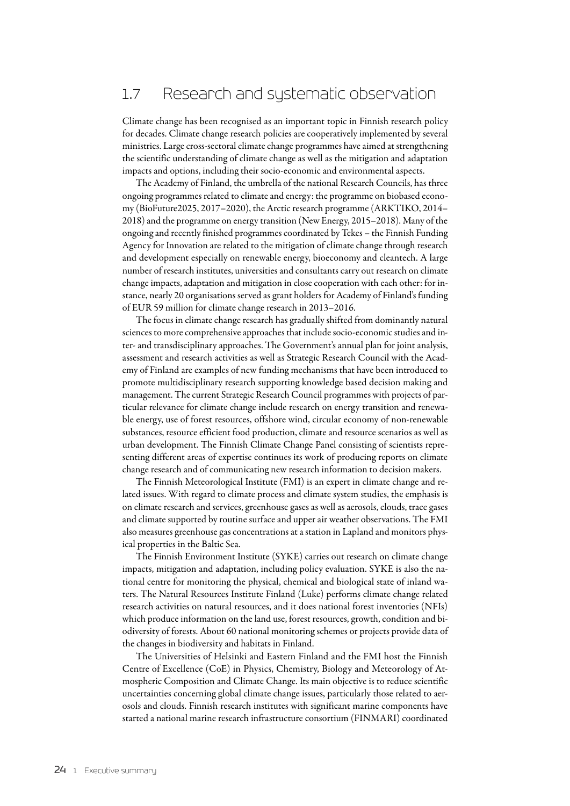## 1.7 Research and systematic observation

Climate change has been recognised as an important topic in Finnish research policy for decades. Climate change research policies are cooperatively implemented by several ministries. Large cross-sectoral climate change programmes have aimed at strengthening the scientific understanding of climate change as well as the mitigation and adaptation impacts and options, including their socio-economic and environmental aspects.

The Academy of Finland, the umbrella of the national Research Councils, has three ongoing programmes related to climate and energy: the programme on biobased economy (BioFuture2025, 2017–2020), the Arctic research programme (ARKTIKO, 2014– 2018) and the programme on energy transition (New Energy, 2015–2018). Many of the ongoing and recently finished programmes coordinated by Tekes – the Finnish Funding Agency for Innovation are related to the mitigation of climate change through research and development especially on renewable energy, bioeconomy and cleantech. A large number of research institutes, universities and consultants carry out research on climate change impacts, adaptation and mitigation in close cooperation with each other: for instance, nearly 20 organisations served as grant holders for Academy of Finland's funding of EUR 59 million for climate change research in 2013–2016.

The focus in climate change research has gradually shifted from dominantly natural sciences to more comprehensive approaches that include socio-economic studies and inter- and transdisciplinary approaches. The Government's annual plan for joint analysis, assessment and research activities as well as Strategic Research Council with the Academy of Finland are examples of new funding mechanisms that have been introduced to promote multidisciplinary research supporting knowledge based decision making and management. The current Strategic Research Council programmes with projects of particular relevance for climate change include research on energy transition and renewable energy, use of forest resources, offshore wind, circular economy of non-renewable substances, resource efficient food production, climate and resource scenarios as well as urban development. The Finnish Climate Change Panel consisting of scientists representing different areas of expertise continues its work of producing reports on climate change research and of communicating new research information to decision makers.

The Finnish Meteorological Institute (FMI) is an expert in climate change and related issues. With regard to climate process and climate system studies, the emphasis is on climate research and services, greenhouse gases as well as aerosols, clouds, trace gases and climate supported by routine surface and upper air weather observations. The FMI also measures greenhouse gas concentrations at a station in Lapland and monitors physical properties in the Baltic Sea.

The Finnish Environment Institute (SYKE) carries out research on climate change impacts, mitigation and adaptation, including policy evaluation. SYKE is also the national centre for monitoring the physical, chemical and biological state of inland waters. The Natural Resources Institute Finland (Luke) performs climate change related research activities on natural resources, and it does national forest inventories (NFIs) which produce information on the land use, forest resources, growth, condition and biodiversity of forests. About 60 national monitoring schemes or projects provide data of the changes in biodiversity and habitats in Finland.

The Universities of Helsinki and Eastern Finland and the FMI host the Finnish Centre of Excellence (CoE) in Physics, Chemistry, Biology and Meteorology of Atmospheric Composition and Climate Change. Its main objective is to reduce scientific uncertainties concerning global climate change issues, particularly those related to aerosols and clouds. Finnish research institutes with significant marine components have started a national marine research infrastructure consortium (FINMARI) coordinated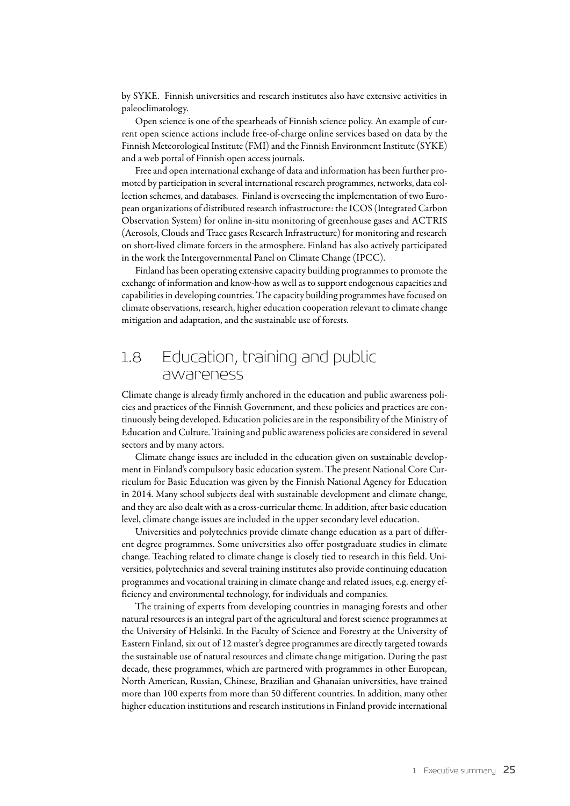by SYKE. Finnish universities and research institutes also have extensive activities in paleoclimatology.

Open science is one of the spearheads of Finnish science policy. An example of current open science actions include free-of-charge online services based on data by the Finnish Meteorological Institute (FMI) and the Finnish Environment Institute (SYKE) and a web portal of Finnish open access journals.

Free and open international exchange of data and information has been further promoted by participation in several international research programmes, networks, data collection schemes, and databases. Finland is overseeing the implementation of two European organizations of distributed research infrastructure: the ICOS (Integrated Carbon Observation System) for online in-situ monitoring of greenhouse gases and ACTRIS (Aerosols, Clouds and Trace gases Research Infrastructure) for monitoring and research on short-lived climate forcers in the atmosphere. Finland has also actively participated in the work the Intergovernmental Panel on Climate Change (IPCC).

Finland has been operating extensive capacity building programmes to promote the exchange of information and know-how as well as to support endogenous capacities and capabilities in developing countries. The capacity building programmes have focused on climate observations, research, higher education cooperation relevant to climate change mitigation and adaptation, and the sustainable use of forests.

## 1.8 Education, training and public awareness

Climate change is already firmly anchored in the education and public awareness policies and practices of the Finnish Government, and these policies and practices are continuously being developed. Education policies are in the responsibility of the Ministry of Education and Culture. Training and public awareness policies are considered in several sectors and by many actors.

Climate change issues are included in the education given on sustainable development in Finland's compulsory basic education system. The present National Core Curriculum for Basic Education was given by the Finnish National Agency for Education in 2014. Many school subjects deal with sustainable development and climate change, and they are also dealt with as a cross-curricular theme. In addition, after basic education level, climate change issues are included in the upper secondary level education.

Universities and polytechnics provide climate change education as a part of different degree programmes. Some universities also offer postgraduate studies in climate change. Teaching related to climate change is closely tied to research in this field. Universities, polytechnics and several training institutes also provide continuing education programmes and vocational training in climate change and related issues, e.g. energy efficiency and environmental technology, for individuals and companies.

The training of experts from developing countries in managing forests and other natural resources is an integral part of the agricultural and forest science programmes at the University of Helsinki. In the Faculty of Science and Forestry at the University of Eastern Finland, six out of 12 master's degree programmes are directly targeted towards the sustainable use of natural resources and climate change mitigation. During the past decade, these programmes, which are partnered with programmes in other European, North American, Russian, Chinese, Brazilian and Ghanaian universities, have trained more than 100 experts from more than 50 different countries. In addition, many other higher education institutions and research institutions in Finland provide international